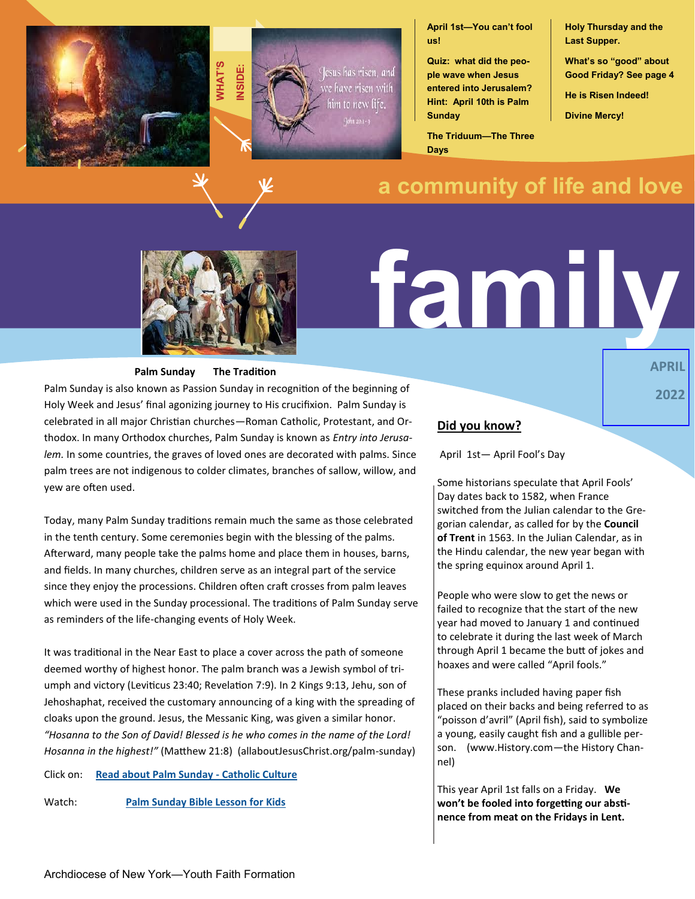



**April 1st—You can't fool us!**

**Quiz: what did the people wave when Jesus entered into Jerusalem? Hint: April 10th is Palm Sunday**

**The Triduum—The Three Days**

**Holy Thursday and the Last Supper.** 

**What's so "good" about Good Friday? See page 4**

**APRIL** 

**2022**

**He is Risen Indeed!**

**Divine Mercy!**

# **a community of life and love**



#### **Palm Sunday The Tradition**

Palm Sunday is also known as Passion Sunday in recognition of the beginning of Holy Week and Jesus' final agonizing journey to His crucifixion. Palm Sunday is celebrated in all major Christian churches—Roman Catholic, Protestant, and Orthodox. In many Orthodox churches, Palm Sunday is known as *Entry into Jerusalem.* In some countries, the graves of loved ones are decorated with palms. Since palm trees are not indigenous to colder climates, branches of sallow, willow, and yew are often used.

Today, many Palm Sunday traditions remain much the same as those celebrated in the tenth century. Some ceremonies begin with the blessing of the palms. Afterward, many people take the palms home and place them in houses, barns, and fields. In many churches, children serve as an integral part of the service since they enjoy the processions. Children often craft crosses from palm leaves which were used in the Sunday processional. The traditions of Palm Sunday serve as reminders of the life-changing events of Holy Week.

It was traditional in the Near East to place a cover across the path of someone deemed worthy of highest honor. The palm branch was a Jewish symbol of triumph and victory (Leviticus 23:40; Revelation 7:9). In 2 Kings 9:13, Jehu, son of Jehoshaphat, received the customary announcing of a king with the spreading of cloaks upon the ground. Jesus, the Messanic King, was given a similar honor. *"Hosanna to the Son of David! Blessed is he who comes in the name of the Lord! Hosanna in the highest!"* (Matthew 21:8) (allaboutJesusChrist.org/palm-sunday)

Click on: **[Read about Palm Sunday](https://www.catholicculture.org/culture/library/view.cfm?recnum=105) - Catholic Culture**

Watch: **[Palm Sunday Bible Lesson for Kids](https://www.youtube.com/watch?v=sKz2vqKn2SU)**

# **family**

#### **Did you know?**

April 1st— April Fool's Day

Some historians speculate that April Fools' Day dates back to 1582, when France switched from the Julian calendar to the [Gre](https://www.history.com/news/6-things-you-may-not-know-about-the-gregorian-calendar)[gorian calendar,](https://www.history.com/news/6-things-you-may-not-know-about-the-gregorian-calendar) as called for by the **Council of Trent** in 1563. In the Julian Calendar, as in the Hindu calendar, the new year began with the spring equinox around April 1.

People who were slow to get the news or failed to recognize that the start of the new year had moved to January 1 and continued to celebrate it during the last week of March through April 1 became the butt of jokes and hoaxes and were called "April fools."

These pranks included having paper fish placed on their backs and being referred to as "poisson d'avril" (April fish), said to symbolize a young, easily caught fish and a gullible person. (www.History.com—the History Channel)

This year April 1st falls on a Friday. **We won't be fooled into forgetting our abstinence from meat on the Fridays in Lent.**

Archdiocese of New York—Youth Faith Formation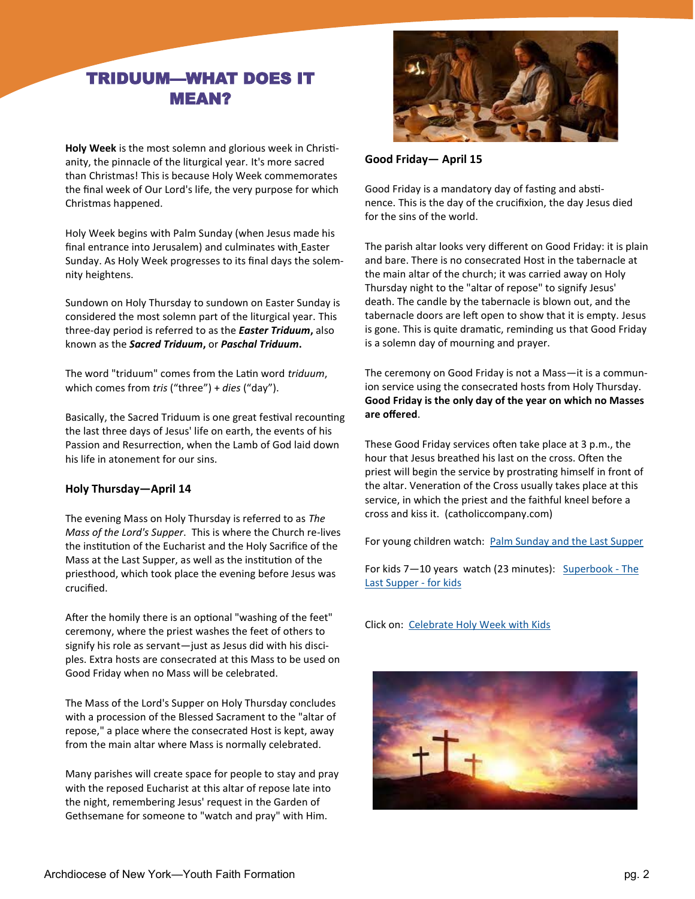# TRIDUUM—WHAT DOES IT MEAN?

**Holy Week** is the most solemn and glorious week in Christianity, the pinnacle of the liturgical year. It's more sacred than Christmas! This is because Holy Week commemorates the final week of Our Lord's life, the very purpose for which Christmas happened.

Holy Week begins with Palm Sunday (when Jesus made his final entrance into Jerusalem) and culminates with [Easter](https://www.catholiccompany.com/easter-gifts-c2421/) Sunday. As Holy Week progresses to its final days the solemnity heightens.

Sundown on Holy Thursday to sundown on Easter Sunday is considered the most solemn part of the liturgical year. This three-day period is referred to as the *Easter Triduum***,** also known as the *Sacred Triduum***,** or *Paschal Triduum***.**

The word "triduum" comes from the Latin word *triduum*, which comes from *tris* ("three") + *dies* ("day").

Basically, the Sacred Triduum is one great festival recounting the last three days of Jesus' life on earth, the events of his Passion and Resurrection, when the Lamb of God laid down his life in atonement for our sins.

## **Holy Thursday—April 14**

The evening Mass on Holy Thursday is referred to as *The Mass of the Lord's Supper*. This is where the Church re-lives the institution of the Eucharist and the Holy Sacrifice of the Mass at the Last Supper, as well as the institution of the priesthood, which took place the evening before Jesus was crucified.

After the homily there is an optional "washing of the feet" ceremony, where the priest washes the feet of others to signify his role as servant—just as Jesus did with his disciples. Extra hosts are consecrated at this Mass to be used on Good Friday when no Mass will be celebrated.

The Mass of the Lord's Supper on Holy Thursday concludes with a procession of the Blessed Sacrament to the "altar of repose," a place where the consecrated Host is kept, away from the main altar where Mass is normally celebrated.

Many parishes will create space for people to stay and pray with the reposed Eucharist at this altar of repose late into the night, remembering Jesus' request in the Garden of Gethsemane for someone to "watch and pray" with Him.



**Good Friday— April 15** 

Good Friday is a mandatory day of fasting and abstinence. This is the day of the crucifixion, the day Jesus died for the sins of the world.

The parish altar looks very different on Good Friday: it is plain and bare. There is no consecrated Host in the tabernacle at the main altar of the church; it was carried away on Holy Thursday night to the "altar of repose" to signify Jesus' death. The candle by the tabernacle is blown out, and the tabernacle doors are left open to show that it is empty. Jesus is gone. This is quite dramatic, reminding us that Good Friday is a solemn day of mourning and prayer.

The ceremony on Good Friday is not a Mass—it is a communion service using the consecrated hosts from Holy Thursday. **Good Friday is the only day of the year on which no Masses are offered**.

These Good Friday services often take place at 3 p.m., the hour that Jesus breathed his last on the cross. Often the priest will begin the service by prostrating himself in front of the altar. Veneration of the Cross usually takes place at this service, in which the priest and the faithful kneel before a cross and kiss it. (catholiccompany.com)

For young children watch: [Palm Sunday and the Last Supper](https://www.youtube.com/watch?v=KywnAfLnOxw)

For kids 7—10 years watch (23 minutes): [Superbook](https://www.youtube.com/watch?v=9Edfb_faOb0) - The [Last Supper](https://www.youtube.com/watch?v=9Edfb_faOb0) - for kids

Click on: [Celebrate Holy Week with Kids](https://www.catholicicing.com/?s=Holy+Week)

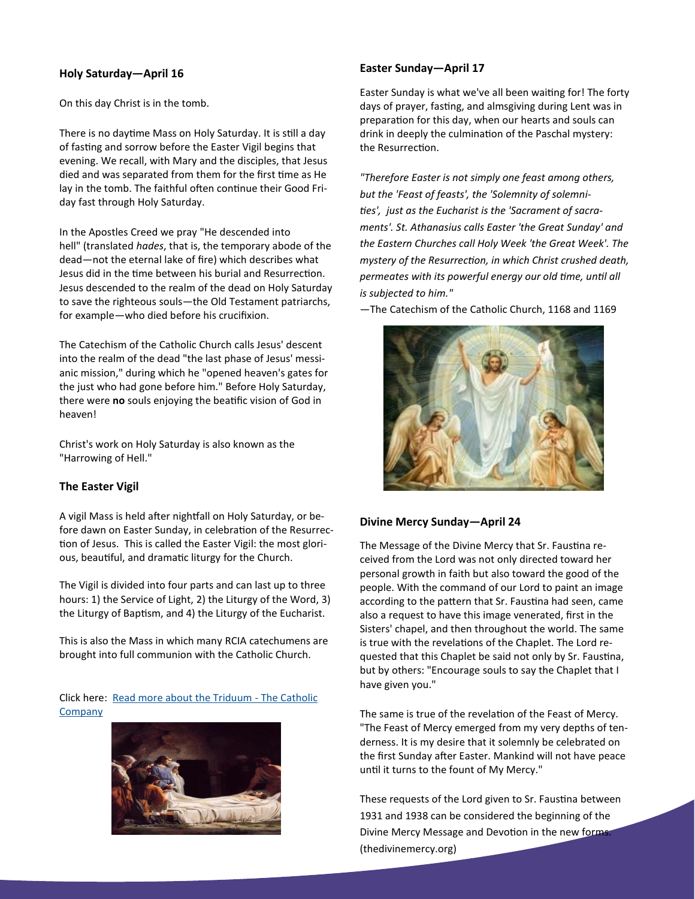#### **Holy Saturday—April 16**

On this day Christ is in the tomb.

There is no daytime Mass on Holy Saturday. It is still a day of fasting and sorrow before the Easter Vigil begins that evening. We recall, with Mary and the disciples, that Jesus died and was separated from them for the first time as He lay in the tomb. The faithful often continue their Good Friday fast through Holy Saturday.

In the Apostles Creed we pray "He descended into hell" (translated *hades*, that is, the temporary abode of the dead—not the eternal lake of fire) which describes what Jesus did in the time between his burial and Resurrection. Jesus descended to the realm of the dead on Holy Saturday to save the righteous souls—the Old Testament patriarchs, for example—who died before his crucifixion.

The [Catechism of the Catholic Church](https://www.catholiccompany.com/catechisms-and-guides-c40/) calls Jesus' descent into the realm of the dead "the last phase of Jesus' messianic mission," during which he "opened heaven's gates for the just who had gone before him." Before Holy Saturday, there were **no** souls enjoying the beatific vision of God in heaven!

Christ's work on Holy Saturday is also known as the "Harrowing of Hell."

#### **The Easter Vigil**

A vigil Mass is held after nightfall on Holy Saturday, or before dawn on Easter Sunday, in celebration of the Resurrection of Jesus. This is called the Easter Vigil: the most glorious, beautiful, and dramatic liturgy for the Church.

The Vigil is divided into four parts and can last up to three hours: 1) the Service of Light, 2) the Liturgy of the Word, 3) the Liturgy of Baptism, and 4) the Liturgy of the Eucharist.

This is also the Mass in which many RCIA catechumens are brought into full communion with the Catholic Church.

Click here: [Read more about the Triduum](https://www.catholiccompany.com/magazine/the-easter-triduum-what-is-it-6028%23) - The Catholic **[Company](https://www.catholiccompany.com/magazine/the-easter-triduum-what-is-it-6028%23)** 



#### **Easter Sunday—April 17**

Easter Sunday is what we've all been waiting for! The forty days of prayer, fasting, and almsgiving during Lent was in preparation for this day, when our hearts and souls can drink in deeply the culmination of the Paschal mystery: the Resurrection.

*"Therefore Easter is not simply one feast among others, but the 'Feast of feasts', the 'Solemnity of solemnities', just as the Eucharist is the 'Sacrament of sacraments'. St. Athanasius calls Easter 'the Great Sunday' and the Eastern Churches call Holy Week 'the Great Week'. The mystery of the Resurrection, in which Christ crushed death, permeates with its powerful energy our old time, until all is subjected to him."* 

—The Catechism of the Catholic Church, 1168 and 1169



#### **Divine Mercy Sunday—April 24**

The Message of the Divine Mercy that Sr. Faustina received from the Lord was not only directed toward her personal growth in faith but also toward the good of the people. With the command of our Lord to paint an image according to the pattern that Sr. Faustina had seen, came also a request to have this image venerated, first in the Sisters' chapel, and then throughout the world. The same is true with the revelations of the Chaplet. The Lord requested that this Chaplet be said not only by Sr. Faustina, but by others: "Encourage souls to say the Chaplet that I have given you."

The same is true of the revelation of the Feast of Mercy. "The Feast of Mercy emerged from my very depths of tenderness. It is my desire that it solemnly be celebrated on the first Sunday after Easter. Mankind will not have peace until it turns to the fount of My Mercy."

These requests of the Lord given to Sr. Faustina between 1931 and 1938 can be considered the beginning of the Divine Mercy Message and Devotion in the new forms. (thedivinemercy.org)